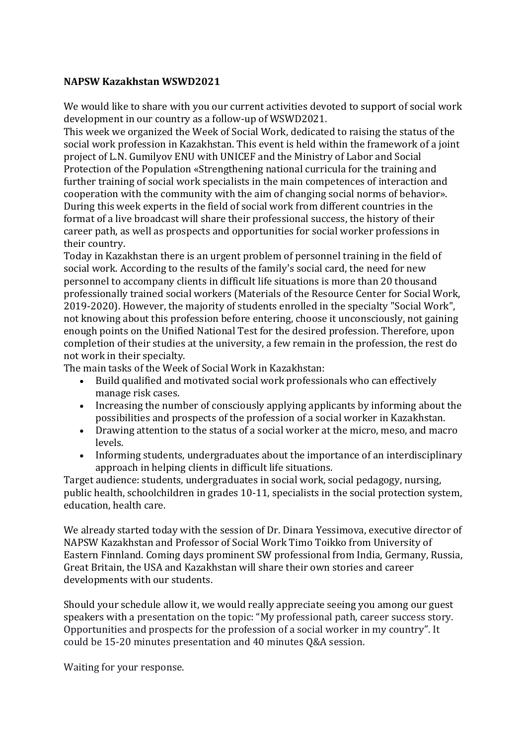## **NAPSW Kazakhstan WSWD2021**

We would like to share with you our current activities devoted to support of social work development in our country as a follow-up of WSWD2021.

This week we organized the Week of Social Work, dedicated to raising the status of the social work profession in Kazakhstan. This event is held within the framework of a joint project of L.N. Gumilyov ENU with UNICEF and the Ministry of Labor and Social Protection of the Population «Strengthening national curricula for the training and further training of social work specialists in the main competences of interaction and cooperation with the community with the aim of changing social norms of behavior». During this week experts in the field of social work from different countries in the format of a live broadcast will share their professional success, the history of their career path, as well as prospects and opportunities for social worker professions in their country.

Today in Kazakhstan there is an urgent problem of personnel training in the field of social work. According to the results of the family's social card, the need for new personnel to accompany clients in difficult life situations is more than 20 thousand professionally trained social workers (Materials of the Resource Center for Social Work, 2019-2020). However, the majority of students enrolled in the specialty "Social Work", not knowing about this profession before entering, choose it unconsciously, not gaining enough points on the Unified National Test for the desired profession. Therefore, upon completion of their studies at the university, a few remain in the profession, the rest do not work in their specialty.

The main tasks of the Week of Social Work in Kazakhstan:

- Build qualified and motivated social work professionals who can effectively manage risk cases.
- Increasing the number of consciously applying applicants by informing about the possibilities and prospects of the profession of a social worker in Kazakhstan.
- Drawing attention to the status of a social worker at the micro, meso, and macro levels.
- Informing students, undergraduates about the importance of an interdisciplinary approach in helping clients in difficult life situations.

Target audience: students, undergraduates in social work, social pedagogy, nursing, public health, schoolchildren in grades 10-11, specialists in the social protection system, education, health care.

We already started today with the session of Dr. Dinara Yessimova, executive director of NAPSW Kazakhstan and Professor of Social Work Timo Toikko from University of Eastern Finnland. Coming days prominent SW professional from India, Germany, Russia, Great Britain, the USA and Kazakhstan will share their own stories and career developments with our students.

Should your schedule allow it, we would really appreciate seeing you among our guest speakers with a presentation on the topic: "My professional path, career success story. Opportunities and prospects for the profession of a social worker in my country". It could be 15-20 minutes presentation and 40 minutes Q&A session.

Waiting for your response.